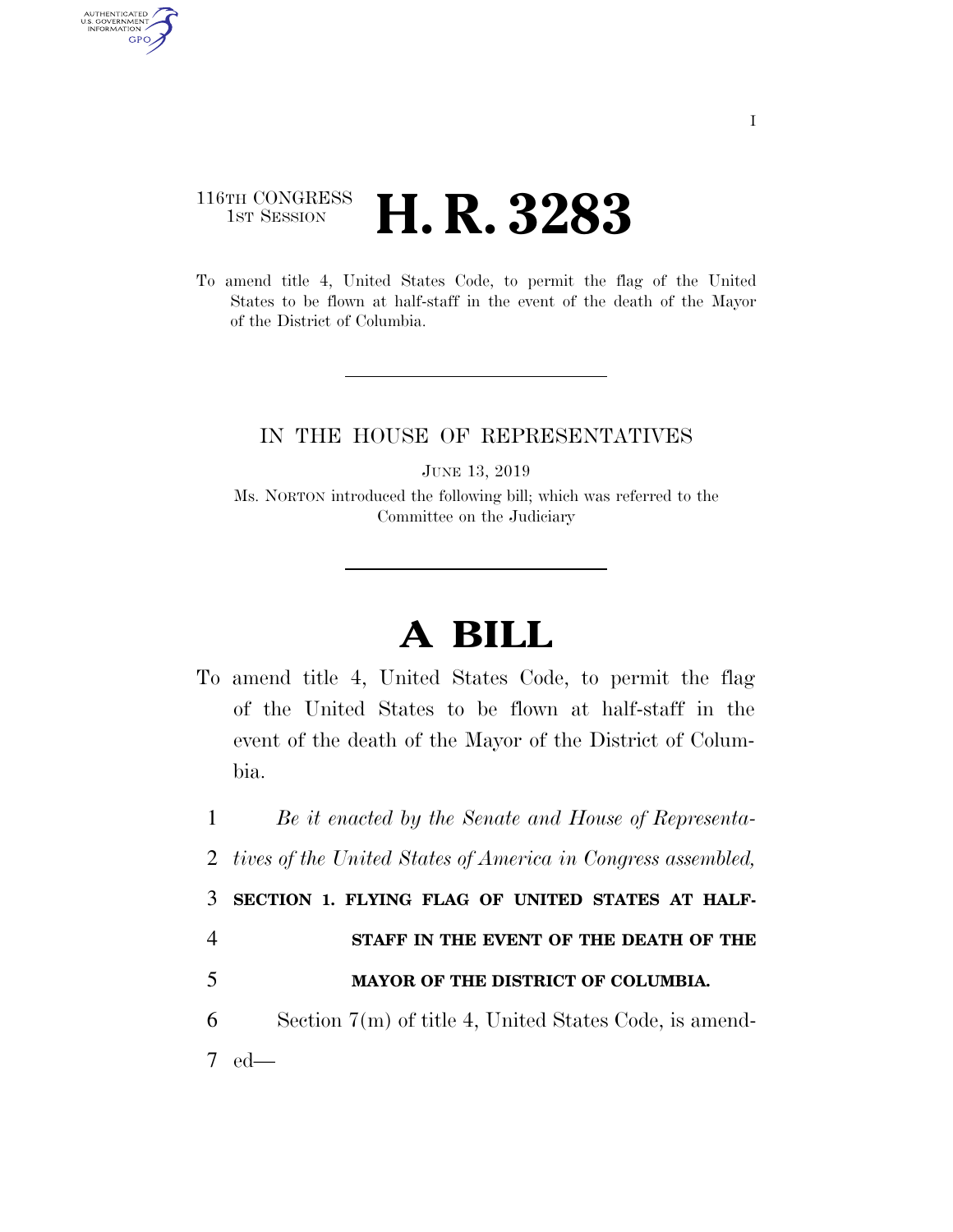## 116TH CONGRESS <sup>TH CONGRESS</sup> **H. R. 3283**

AUTHENTICATED<br>U.S. GOVERNMENT<br>INFORMATION GPO

> To amend title 4, United States Code, to permit the flag of the United States to be flown at half-staff in the event of the death of the Mayor of the District of Columbia.

## IN THE HOUSE OF REPRESENTATIVES

JUNE 13, 2019

Ms. NORTON introduced the following bill; which was referred to the Committee on the Judiciary

## **A BILL**

To amend title 4, United States Code, to permit the flag of the United States to be flown at half-staff in the event of the death of the Mayor of the District of Columbia.

1 *Be it enacted by the Senate and House of Representa-*

2 *tives of the United States of America in Congress assembled,* 

3 **SECTION 1. FLYING FLAG OF UNITED STATES AT HALF-**

- 4 **STAFF IN THE EVENT OF THE DEATH OF THE**
- 5 **MAYOR OF THE DISTRICT OF COLUMBIA.**
- 6 Section 7(m) of title 4, United States Code, is amend-7 ed—